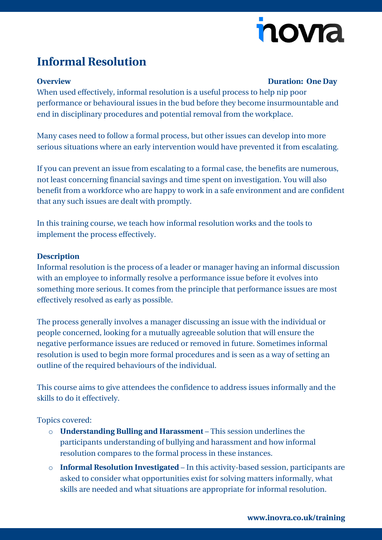# novia

## **Informal Resolution**

### **Overview Duration: One Day**

When used effectively, informal resolution is a useful process to help nip poor performance or behavioural issues in the bud before they become insurmountable and end in disciplinary procedures and potential removal from the workplace.

Many cases need to follow a formal process, but other issues can develop into more serious situations where an early intervention would have prevented it from escalating.

If you can prevent an issue from escalating to a formal case, the benefits are numerous, not least concerning financial savings and time spent on investigation. You will also benefit from a workforce who are happy to work in a safe environment and are confident that any such issues are dealt with promptly.

In this training course, we teach how informal resolution works and the tools to implement the process effectively.

#### **Description**

Informal resolution is the process of a leader or manager having an informal discussion with an employee to informally resolve a performance issue before it evolves into something more serious. It comes from the principle that performance issues are most effectively resolved as early as possible.

The process generally involves a manager discussing an issue with the individual or people concerned, looking for a mutually agreeable solution that will ensure the negative performance issues are reduced or removed in future. Sometimes informal resolution is used to begin more formal procedures and is seen as a way of setting an outline of the required behaviours of the individual.

This course aims to give attendees the confidence to address issues informally and the skills to do it effectively.

Topics covered:

- o **Understanding Bulling and Harassment**  This session underlines the participants understanding of bullying and harassment and how informal resolution compares to the formal process in these instances.
- o **Informal Resolution Investigated** In this activity-based session, participants are asked to consider what opportunities exist for solving matters informally, what skills are needed and what situations are appropriate for informal resolution.